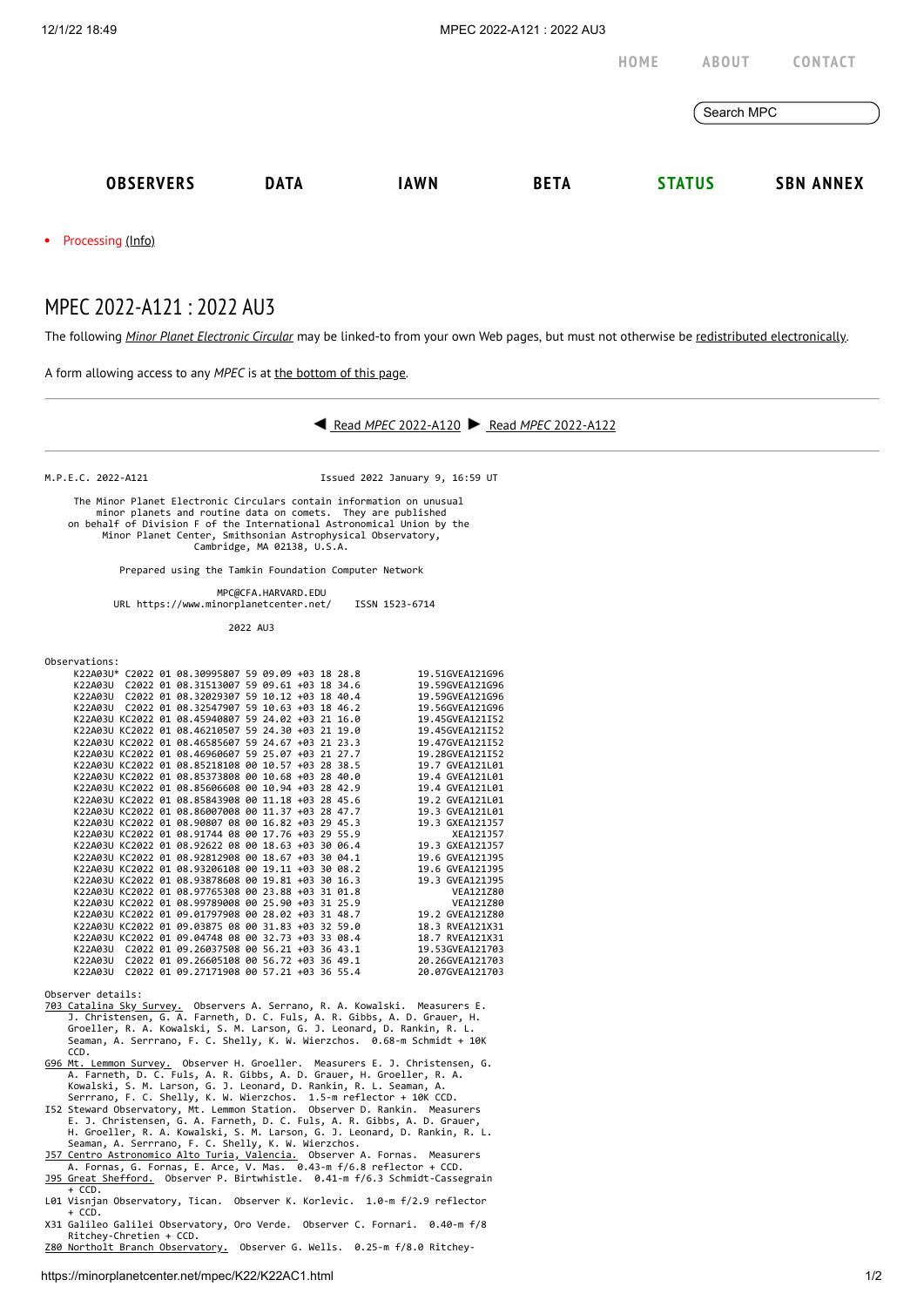|                     |             |             |             | HOME       | <b>ABOUT</b>  | <b>CONTACT</b>   |
|---------------------|-------------|-------------|-------------|------------|---------------|------------------|
|                     |             |             |             | Search MPC |               |                  |
| <b>OBSERVERS</b>    | <b>DATA</b> | <b>IAWN</b> | <b>BETA</b> |            | <b>STATUS</b> | <b>SBN ANNEX</b> |
| • Processing (Info) |             |             |             |            |               |                  |

## MPEC 2022-A121 : 2022 AU3

The following *Minor Planet [Electronic](https://minorplanetcenter.net/iau/services/MPEC.html) Circular* may be linked-to from your own Web pages, but must not otherwise be redistributed [electronically](https://minorplanetcenter.net/iau/WWWPolicy.html).



X31 Galileo Galilei Observatory, Oro Verde. Observer C. Fornari. 0.40-m f/8 Ritchey-Chretien + CCD.<br>[Z80 Northolt Branch Observatory.](https://www.facebook.com/NBObservatories/) Observer G. Wells. 0.25-m f/8.0 Ritchey-